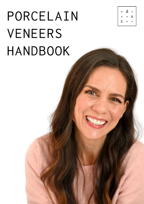# PORCELAIN VENEERS HANDBOOK

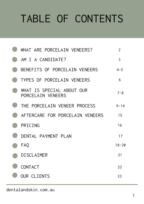## TABLE OF CONTENTS

| WHAT ARE PORCELAIN VENEERS?                    | $\overline{2}$ |
|------------------------------------------------|----------------|
| AM I A CANDIDATE?                              | $\overline{3}$ |
| BENEFITS OF PORCELAIN VENEERS                  | $4 - 5$        |
| TYPES OF PORCELAIN VENEERS                     | 6              |
| WHAT IS SPECIAL ABOUT OUR<br>PORCELAIN VENEERS | $7 - 8$        |
| THE PORCELAIN VENEER PROCESS                   | $9 - 14$       |
| AFTERCARE FOR PORCELAIN VENEERS                | 15             |
| PRICING                                        | 16             |
| DENTAL PAYMENT PLAN                            | 17             |
| <b>FAQ</b>                                     | $18 - 20$      |
| DISCLAIMER                                     | 21             |
| <b>CONTACT</b>                                 | 22             |
| <b>OUR CLIENTS</b>                             | 23             |

dentalandskin.com.au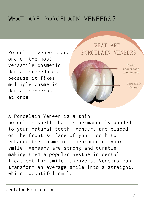### WHAT ARE PORCELAIN VENEERS?

Porcelain veneers are one of the most versatile cosmetic dental procedures because it fixes multiple cosmetic dental concerns at once.



A Porcelain Veneer is a thin porcelain shell that is permanently bonded to your natural tooth. Veneers are placed on the front surface of your tooth to enhance the cosmetic appearance of your smile. Veneers are strong and durable making them a popular aesthetic dental treatment for smile makeovers. Veneers can transform an average smile into a straight, white, beautiful smile.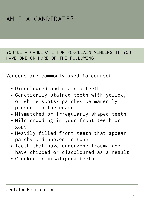### AM I A CANDIDATE?

YOU'RE A CANDIDATE FOR PORCELAIN VENEERS IF YOU HAVE ONE OR MORE OF THE FOLLOWING:

Veneers are commonly used to correct:

- Discoloured and stained teeth
- Genetically stained teeth with yellow, or white spots/ patches permanently present on the enamel
- Mismatched or irregularly shaped teeth
- Mild crowding in your front teeth or gaps
- Heavily filled front teeth that appear patchy and uneven in tone
- Teeth that have undergone trauma and have chipped or discoloured as a result
- Crooked or misaligned teeth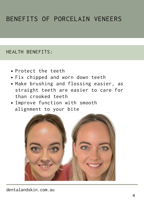### BENEFITS OF PORCELAIN VENEERS

#### HEALTH BENEFITS:

- Protect the teeth
- Fix chipped and worn down teeth
- Make brushing and flossing easier, as straight teeth are easier to care for than crooked teeth
- Improve function with smooth alignment to your bite

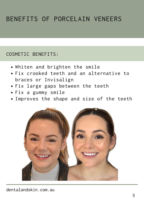### BENEFITS OF PORCELAIN VENEERS

#### COSMETIC BENEFITS:

- Whiten and brighten the smile
- Fix crooked teeth and an alternative to braces or Invisalign
- Fix large gaps between the teeth
- Fix a gummy smile
- Improves the shape and size of the teeth

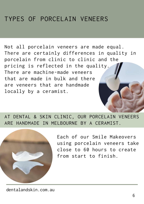### TYPES OF PORCELAIN VENEERS

Not all [porcelain](https://dentalandskin.com.au/dental-services/porcelain-veneers-melbourne/) veneers are made equal. There are certainly differences in quality in porcelain from clinic to clinic and the pricing is reflected in the quality. There are machine-made veneers that are made in bulk and there are veneers that are handmade locally by a ceramist.

AT DENTAL & SKIN CLINIC, OUR PORCELAIN VENEERS ARE HANDMADE IN MELBOURNE BY A CERAMIST.



Each of our Smile Makeovers using porcelain veneers take close to 60 hours to create from start to finish.

dentalandskin.com.au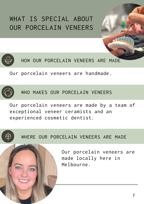### WHAT IS SPECIAL ABOUT OUR PORCELAIN VENEERS



HOW OUR PORCELAIN VENEERS ARE MADE

Our porcelain veneers are handmade.



WHO MAKES OUR PORCELAIN VENEERS

Our porcelain veneers are made by a team of exceptional veneer ceramists and an experienced cosmetic dentist.



WHERE OUR PORCELAIN VENEERS ARE MADE

Our porcelain veneers are made locally here in Melbourne.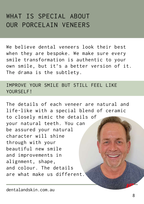### WHAT IS SPECIAL ABOUT OUR PORCELAIN VENEERS

We believe dental veneers look their best when they are bespoke. We make sure every smile transformation is authentic to your own smile, but it's a better version of it. The drama is the subtlety.

#### IMPROVE YOUR SMILE BUT STILL FEEL LIKE YOURSELF!

The details of each veneer are natural and life-like with a special blend of ceramic to closely mimic the details of your natural teeth. You can be assured your natural character will shine through with your beautiful new smile and improvements in alignment, shape, and colour. The details are what make us different.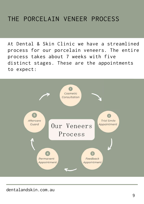At Dental & Skin Clinic we have a streamlined process for our porcelain veneers. The entire process takes about 7 weeks with five distinct stages. These are the appointments to expect:

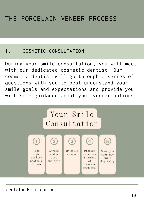#### 1. COSMETIC CONSULTATION

During your smile consultation, you will meet with our dedicated cosmetic dentist. Our cosmetic dentist will go through a series of questions with you to best understand your smile goals and expectations and provide you with some guidance about your veneer options.

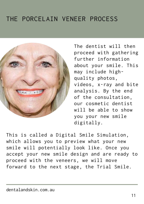

The dentist will then proceed with gathering further information about your smile. This may include highquality photos, videos, x-ray and bite analysis. By the end of the consultation, our cosmetic dentist will be able to show you your new smile digitally.

This is called a Digital Smile Simulation, which allows you to preview what your new smile will potentially look like. Once you accept your new smile design and are ready to proceed with the veneers, we will move forward to the next stage, the Trial Smile.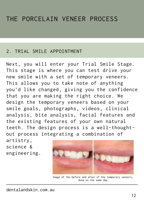#### 2. TRIAL SMILE APPOINTMENT

Next, you will enter your Trial Smile Stage. This stage is where you can test drive your new smile with a set of temporary veneers. This allows you to take note of anything you'd like changed, giving you the confidence that you are making the right choice. We design the temporary veneers based on your smile goals, photographs, videos, clinical analysis, bite analysis, facial features and the existing features of your own natural teeth. The design process is a well-thoughtout process integrating a combination of artistry,

science & engineering.



Image of the before and after of the temporary veneers, done on the same day.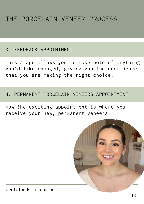#### 3. FEEDBACK APPOINTMENT

This stage allows you to take note of anything you'd like changed, giving you the confidence that you are making the right choice.

#### 4. PERMANENT PORCELAIN VENEERS APPOINTMENT

Now the exciting appointment is where you receive your new, permanent veneers.

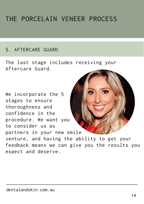#### 5. AFTERCARE GUARD

The last stage includes receiving your Aftercare Guard.

We incorporate the 5 stages to ensure thoroughness and confidence in the procedure. We want you to consider us as partners in your new smile venture, and having the ability to get your feedback means we can give you the results you expect and deserve.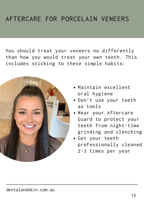### AFTERCARE FOR PORCELAIN VENEERS

You should treat your veneers no differently than how you would treat your own teeth. This includes sticking to these simple habits:



- Maintain excellent oral hygiene
- Don't use your teeth as tools
- Wear your Aftercare Guard to protect your teeth from night-time grinding and clenching
- Get your teeth professionally cleaned 2-3 times per year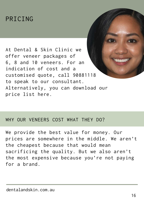### PRICING

At Dental & Skin Clinic we offer veneer packages of 6, 8 and 10 veneers. For an indication of cost and a customised quote, call 90881118 to speak to our consultant. Alternatively, you can download our price list [here.](https://dentalandskin.com.au/pricing/)

#### WHY OUR VENEERS COST WHAT THEY DO?

We provide the best value for money. Our prices are somewhere in the middle. We aren't the cheapest because that would mean sacrificing the quality. But we also aren't the most expensive because you're not paying for a brand.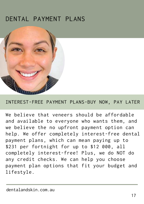### DENTAL PAYMENT PLANS



#### INTEREST-FREE PAYMENT PLANS-BUY NOW, PAY LATER

We believe that veneers should be affordable and available to everyone who wants them, and we believe the no upfront payment option can help. We offer completely interest-free dental payment plans, which can mean paying up to \$231 per fortnight for up to \$12 000, all completely interest-free! Plus, we do NOT do any credit checks. We can help you choose payment plan options that fit your budget and lifestyle.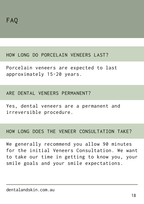#### HOW LONG DO PORCELAIN VENEERS LAST?

Porcelain veneers are expected to last approximately 15-20 years.

#### ARE DENTAL VENEERS PERMANENT?

Yes, dental veneers are a permanent and irreversible procedure.

#### HOW LONG DOES THE VENEER CONSULTATION TAKE?

We generally recommend you allow 90 minutes for the initial Veneers Consultation. We want to take our time in getting to know you, your smile goals and your smile expectations.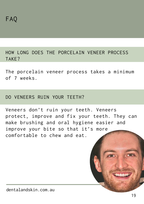HOW LONG DOES THE PORCELAIN VENEER PROCESS TAKE?

The porcelain veneer process takes a minimum of 7 weeks.

#### DO VENEERS RUIN YOUR TEETH?

Veneers don't ruin your teeth. Veneers protect, improve and fix your teeth. They can make brushing and oral hygiene easier and improve your bite so that it's more comfortable to chew and eat.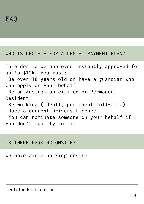#### WHO IS LEGIBLE FOR A DENTAL PAYMENT PLAN?

In order to be approved instantly approved for up to \$12k, you must: ·Be over 18 years old or have a guardian who can apply on your behalf ·Be an Australian citizen or Permanent Resident ·Be working (ideally permanent full-time) ·Have a current Drivers Licence ·You can nominate someone on your behalf if you don't qualify for it

#### IS THERE PARKING ONSITE?

We have ample parking onsite.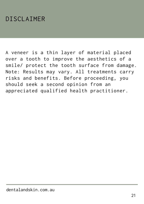### DISCLAIMER

A veneer is a thin layer of material placed over a tooth to improve the aesthetics of a smile/ protect the tooth surface from damage. Note: Results may vary. All treatments carry risks and benefits. Before proceeding, you should seek a second opinion from an appreciated qualified health practitioner.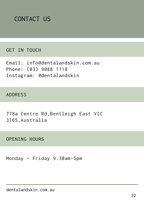

#### GET IN TOUCH

Email: [info@dentalandskin.com.au](https://dentalandskin.com.au/contact/) Phone: (03) 9088 [1118](https://dentalandskin.com.au/contact/) Instagram: [@dentalandskin](https://www.instagram.com/dentalandskin/)

ADDRESS

778a Centre [Rd,Bentleigh](https://www.google.com/maps/dir/dental+and+skin+clinic/data=!4m6!4m5!1m1!4e2!1m2!1m1!1s0x6ad66bdbca7cd44d:0xe45035c66d72b1c4?sa=X&ved=2ahUKEwi70o-L3Jf3AhWHR2wGHR_NC4EQ9Rd6BAhOEAU) East VIC [3165,Australia](https://www.google.com/maps/dir/dental+and+skin+clinic/data=!4m6!4m5!1m1!4e2!1m2!1m1!1s0x6ad66bdbca7cd44d:0xe45035c66d72b1c4?sa=X&ved=2ahUKEwi70o-L3Jf3AhWHR2wGHR_NC4EQ9Rd6BAhOEAU)

OPENING HOURS

Monday – Friday 9.30am-5pm